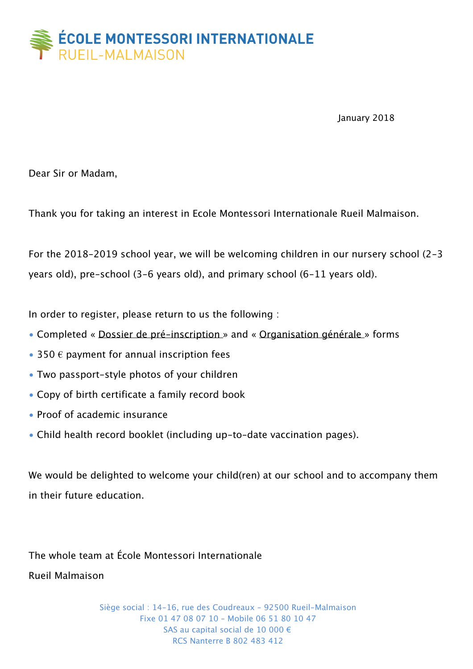

January 2018

Dear Sir or Madam,

Thank you for taking an interest in Ecole Montessori Internationale Rueil Malmaison.

For the 2018-2019 school year, we will be welcoming children in our nursery school (2-3 years old), pre-school (3-6 years old), and primary school (6-11 years old).

In order to register, please return to us the following :

- Completed « Dossier de pré-inscription » and « Organisation générale » forms
- 350  $\epsilon$  payment for annual inscription fees
- Two passport-style photos of your children
- Copy of birth certificate a family record book
- Proof of academic insurance
- Child health record booklet (including up-to-date vaccination pages).

We would be delighted to welcome your child(ren) at our school and to accompany them in their future education.

The whole team at École Montessori Internationale Rueil Malmaison

> Siège social : 14-16, rue des Coudreaux – 92500 Rueil-Malmaison Fixe 01 47 08 07 10 – Mobile 06 51 80 10 47 SAS au capital social de 10 000 € RCS Nanterre B 802 483 412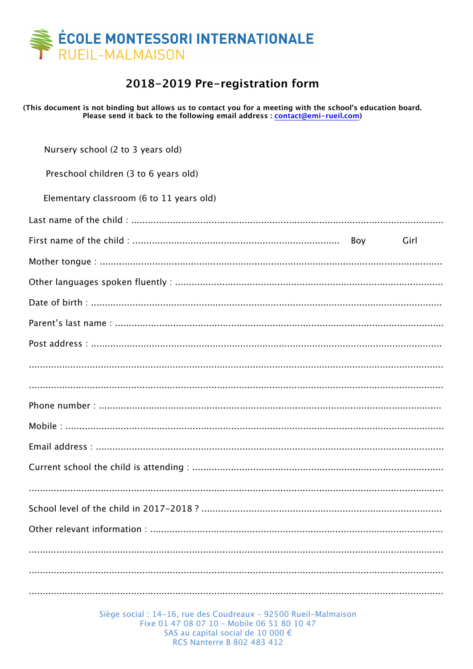

## 2018-2019 Pre-registration form

(This document is not binding but allows us to contact you for a meeting with the school's education board. Please send it back to the following email address : contact@emi-rueil.com)

| Nursery school (2 to 3 years old)        |
|------------------------------------------|
| Preschool children (3 to 6 years old)    |
| Elementary classroom (6 to 11 years old) |
|                                          |
| Girl                                     |
|                                          |
|                                          |
|                                          |
|                                          |
|                                          |
|                                          |
|                                          |
|                                          |
|                                          |
|                                          |
|                                          |
|                                          |
|                                          |
|                                          |
|                                          |
|                                          |
|                                          |

Siège social : 14-16, rue des Coudreaux - 92500 Rueil-Malmaison Fixe 01 47 08 07 10 - Mobile 06 51 80 10 47 SAS au capital social de 10 000 € **RCS Nanterre B 802 483 412**